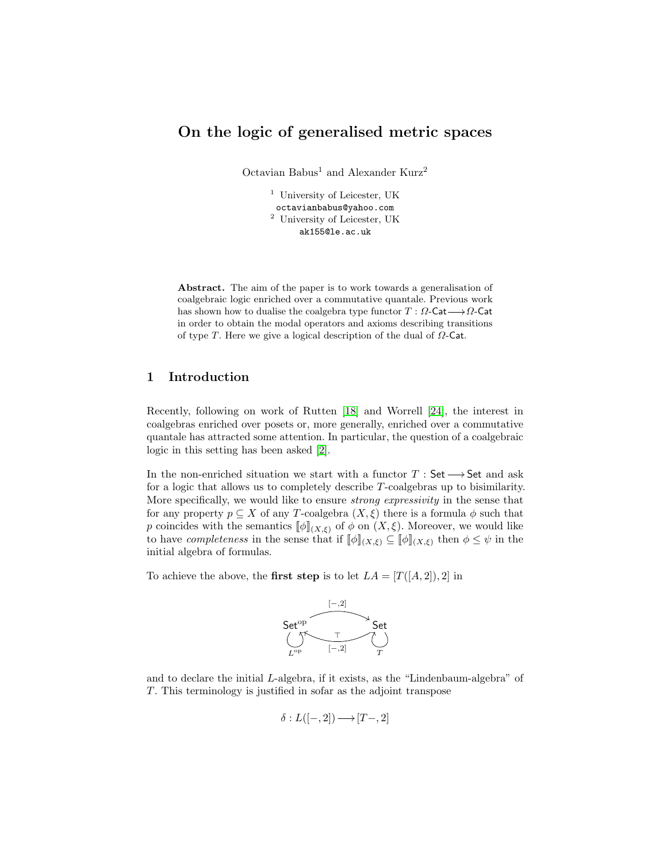# On the logic of generalised metric spaces

Octavian Babus<sup>1</sup> and Alexander Kurz<sup>2</sup>

<sup>1</sup> University of Leicester, UK octavianbabus@yahoo.com <sup>2</sup> University of Leicester, UK ak155@le.ac.uk

Abstract. The aim of the paper is to work towards a generalisation of coalgebraic logic enriched over a commutative quantale. Previous work has shown how to dualise the coalgebra type functor  $T : \Omega$ -Cat $\longrightarrow \Omega$ -Cat in order to obtain the modal operators and axioms describing transitions of type T. Here we give a logical description of the dual of  $\Omega$ -Cat.

# 1 Introduction

Recently, following on work of Rutten [\[18\]](#page-19-0) and Worrell [\[24\]](#page-19-1), the interest in coalgebras enriched over posets or, more generally, enriched over a commutative quantale has attracted some attention. In particular, the question of a coalgebraic logic in this setting has been asked [\[2\]](#page-18-0).

In the non-enriched situation we start with a functor  $T : Set \longrightarrow Set$  and ask for a logic that allows us to completely describe T-coalgebras up to bisimilarity. More specifically, we would like to ensure *strong expressivity* in the sense that for any property  $p \subseteq X$  of any T-coalgebra  $(X, \xi)$  there is a formula  $\phi$  such that p coincides with the semantics  $[\![\phi]\!]_{(X,\xi)}$  of  $\phi$  on  $(X,\xi)$ . Moreover, we would like to have *completeness* in the sense that if  $[\![\phi]\!]_{(X,\xi)} \subseteq [\![\phi]\!]_{(X,\xi)}$  then  $\phi \leq \psi$  in the initial algebra of formulas.

To achieve the above, the first step is to let  $LA = [T([A, 2]), 2]$  in



and to declare the initial L-algebra, if it exists, as the "Lindenbaum-algebra" of T. This terminology is justified in sofar as the adjoint transpose

$$
\delta: L([-,2]) \longrightarrow [T-,2]
$$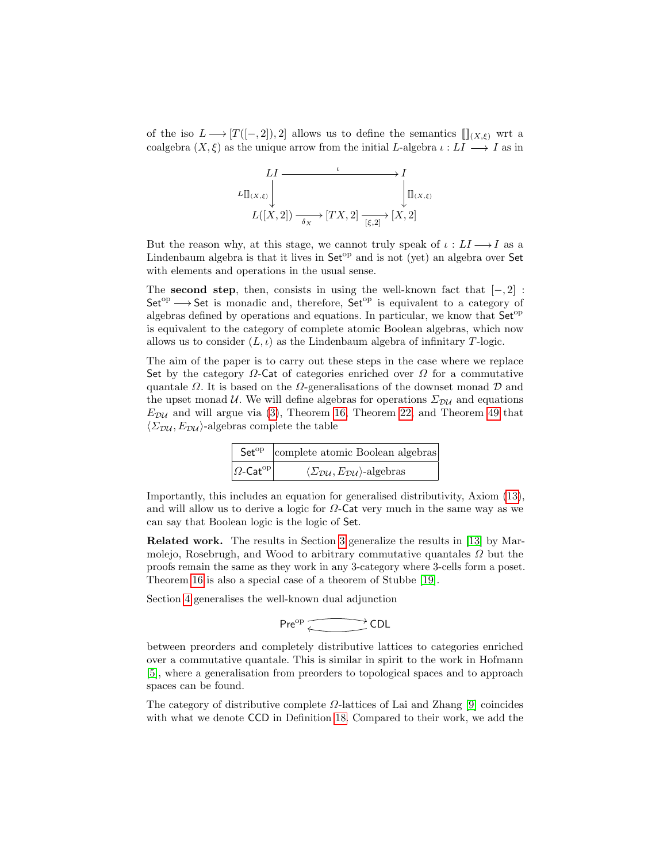of the iso  $L \longrightarrow [T([-, 2]), 2]$  allows us to define the semantics  $[\;]](X, \xi)$  wrt a coalgebra  $(X, \xi)$  as the unique arrow from the initial L-algebra  $\iota: L I \longrightarrow I$  as in

$$
LI \longrightarrow I
$$
  
\n
$$
L[\mathbb{I}_{(X,\xi)}] \longrightarrow \mathbb{I}_{\mathbb{I}_{(X,\xi)}}
$$
  
\n
$$
L([X,2]) \longrightarrow \mathbb{I}_{\frac{X}{(X,2]}}[TX,2] \longrightarrow [X,2]
$$

But the reason why, at this stage, we cannot truly speak of  $\iota: LI \longrightarrow I$  as a Lindenbaum algebra is that it lives in  $Set^{op}$  and is not (yet) an algebra over Set with elements and operations in the usual sense.

The second step, then, consists in using the well-known fact that  $[-, 2]$ :  $Set<sup>op</sup> \longrightarrow Set$  is monadic and, therefore,  $Set<sup>op</sup>$  is equivalent to a category of algebras defined by operations and equations. In particular, we know that  $Set^{op}$ is equivalent to the category of complete atomic Boolean algebras, which now allows us to consider  $(L, \iota)$  as the Lindenbaum algebra of infinitary T-logic.

The aim of the paper is to carry out these steps in the case where we replace Set by the category  $\Omega$ -Cat of categories enriched over  $\Omega$  for a commutative quantale  $\Omega$ . It is based on the  $\Omega$ -generalisations of the downset monad  $\mathcal D$  and the upset monad U. We will define algebras for operations  $\Sigma_{\mathcal{D}\mathcal{U}}$  and equations  $E_{\mathcal{D}\mathcal{U}}$  and will argue via [\(3\)](#page-5-0), Theorem [16,](#page-7-0) Theorem [22,](#page-8-0) and Theorem [49](#page-16-0) that  $\langle \Sigma_{\text{DU}}, E_{\text{DU}} \rangle$ -algebras complete the table

|                                          | Set <sup>op</sup>   complete atomic Boolean algebras                                    |
|------------------------------------------|-----------------------------------------------------------------------------------------|
| $ \Omega\text{-}\mathsf{Cat}^\text{op} $ | $\langle \Sigma_{\mathcal{D}\mathcal{U}}, E_{\mathcal{D}\mathcal{U}} \rangle$ -algebras |

Importantly, this includes an equation for generalised distributivity, Axiom [\(13\)](#page-16-1), and will allow us to derive a logic for  $\Omega$ -Cat very much in the same way as we can say that Boolean logic is the logic of Set.

Related work. The results in Section [3](#page-5-1) generalize the results in [\[13\]](#page-19-2) by Marmolejo, Rosebrugh, and Wood to arbitrary commutative quantales  $\Omega$  but the proofs remain the same as they work in any 3-category where 3-cells form a poset. Theorem [16](#page-7-0) is also a special case of a theorem of Stubbe [\[19\]](#page-19-3).

Section [4](#page-8-1) generalises the well-known dual adjunction

$$
\mathsf{Pre}^{\mathrm{op}} \xleftarrow{\longrightarrow} \mathsf{CDL}
$$

between preorders and completely distributive lattices to categories enriched over a commutative quantale. This is similar in spirit to the work in Hofmann [\[5\]](#page-18-1), where a generalisation from preorders to topological spaces and to approach spaces can be found.

The category of distributive complete  $\Omega$ -lattices of Lai and Zhang [\[9\]](#page-19-4) coincides with what we denote CCD in Definition [18.](#page-8-2) Compared to their work, we add the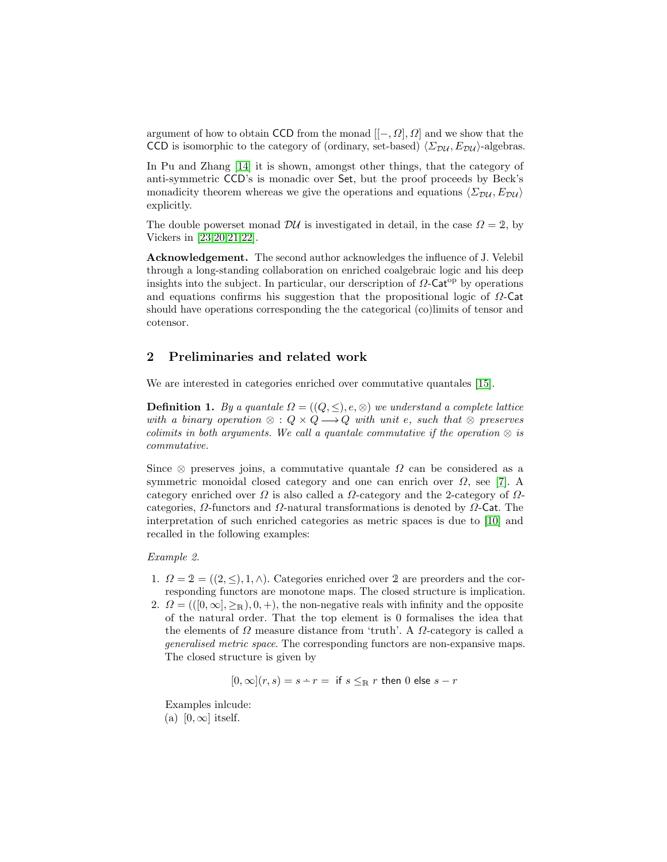argument of how to obtain CCD from the monad  $[[-, \Omega], \Omega]$  and we show that the CCD is isomorphic to the category of (ordinary, set-based)  $\langle \Sigma_{\text{DU}}, E_{\text{DU}} \rangle$ -algebras.

In Pu and Zhang [\[14\]](#page-19-5) it is shown, amongst other things, that the category of anti-symmetric CCD's is monadic over Set, but the proof proceeds by Beck's monadicity theorem whereas we give the operations and equations  $\langle \Sigma_{\text{DU}}, E_{\text{DU}} \rangle$ explicitly.

The double powerset monad  $\mathcal{D}U$  is investigated in detail, in the case  $\Omega = 2$ , by Vickers in [\[23](#page-19-6)[,20](#page-19-7)[,21,](#page-19-8)[22\]](#page-19-9).

Acknowledgement. The second author acknowledges the influence of J. Velebil through a long-standing collaboration on enriched coalgebraic logic and his deep insights into the subject. In particular, our derscription of  $\Omega$ -Cat<sup>op</sup> by operations and equations confirms his suggestion that the propositional logic of  $\Omega$ -Cat should have operations corresponding the the categorical (co)limits of tensor and cotensor.

# 2 Preliminaries and related work

We are interested in categories enriched over commutative quantales [\[15\]](#page-19-10).

**Definition 1.** By a quantale  $\Omega = ((Q, \leq), e, \otimes)$  we understand a complete lattice with a binary operation  $\otimes$  :  $Q \times Q \longrightarrow Q$  with unit e, such that  $\otimes$  preserves colimits in both arguments. We call a quantale commutative if the operation  $\otimes$  is commutative.

Since  $\otimes$  preserves joins, a commutative quantale  $\Omega$  can be considered as a symmetric monoidal closed category and one can enrich over  $\Omega$ , see [\[7\]](#page-19-11). A category enriched over  $\Omega$  is also called a  $\Omega$ -category and the 2-category of  $\Omega$ categories,  $\Omega$ -functors and  $\Omega$ -natural transformations is denoted by  $\Omega$ -Cat. The interpretation of such enriched categories as metric spaces is due to [\[10\]](#page-19-12) and recalled in the following examples:

## Example 2.

- 1.  $\Omega = 2 = ((2, \leq), 1, \wedge)$ . Categories enriched over 2 are preorders and the corresponding functors are monotone maps. The closed structure is implication.
- 2.  $\Omega = ((0, \infty], \geq_R), 0, +)$ , the non-negative reals with infinity and the opposite of the natural order. That the top element is 0 formalises the idea that the elements of  $\Omega$  measure distance from 'truth'. A  $\Omega$ -category is called a generalised metric space. The corresponding functors are non-expansive maps. The closed structure is given by

$$
[0, \infty](r, s) = s - r =
$$
 if  $s \leq_R r$  then 0 else  $s - r$ 

Examples inlcude: (a)  $[0, \infty]$  itself.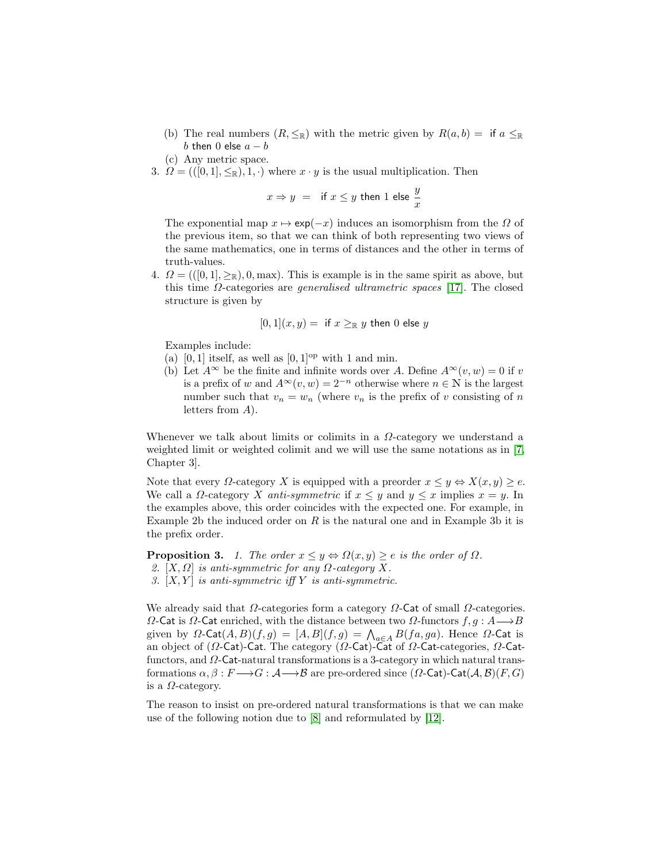- (b) The real numbers  $(R, \leq_R)$  with the metric given by  $R(a, b) =$  if  $a \leq_R$ b then 0 else  $a - b$
- (c) Any metric space.
- 3.  $\Omega = (([0,1], \leq_R), 1, \cdot)$  where  $x \cdot y$  is the usual multiplication. Then

$$
x \Rightarrow y = \text{if } x \leq y \text{ then } 1 \text{ else } \frac{y}{x}
$$

The exponential map  $x \mapsto \exp(-x)$  induces an isomorphism from the  $\Omega$  of the previous item, so that we can think of both representing two views of the same mathematics, one in terms of distances and the other in terms of truth-values.

4.  $\Omega = ((0,1], \geq_R), 0, \text{max})$ . This is example is in the same spirit as above, but this time  $\Omega$ -categories are *generalised ultrametric spaces* [\[17\]](#page-19-13). The closed structure is given by

$$
[0,1](x,y) = \text{ if } x \geq_{\mathbb{R}} y \text{ then } 0 \text{ else } y
$$

Examples include:

- (a)  $[0, 1]$  itself, as well as  $[0, 1]^{op}$  with 1 and min.
- (b) Let  $A^{\infty}$  be the finite and infinite words over A. Define  $A^{\infty}(v, w) = 0$  if v is a prefix of w and  $A^{\infty}(v, w) = 2^{-n}$  otherwise where  $n \in \mathbb{N}$  is the largest number such that  $v_n = w_n$  (where  $v_n$  is the prefix of v consisting of n letters from A).

Whenever we talk about limits or colimits in a  $\Omega$ -category we understand a weighted limit or weighted colimit and we will use the same notations as in [\[7,](#page-19-11) Chapter 3].

Note that every  $\Omega$ -category X is equipped with a preorder  $x \leq y \Leftrightarrow X(x, y) \geq e$ . We call a  $\Omega$ -category X anti-symmetric if  $x \leq y$  and  $y \leq x$  implies  $x = y$ . In the examples above, this order coincides with the expected one. For example, in Example 2b the induced order on  $R$  is the natural one and in Example 3b it is the prefix order.

<span id="page-3-0"></span>**Proposition 3.** 1. The order  $x \leq y \Leftrightarrow \Omega(x, y) \geq e$  is the order of  $\Omega$ . 2.  $[X, \Omega]$  is anti-symmetric for any  $\Omega$ -category X. 3.  $[X, Y]$  is anti-symmetric iff Y is anti-symmetric.

We already said that  $\Omega$ -categories form a category  $\Omega$ -Cat of small  $\Omega$ -categories.  $Ω$ -Cat is  $Ω$ -Cat enriched, with the distance between two  $Ω$ -functors  $f, g : A \rightarrow B$ given by  $\Omega$ -Cat $(A, B)(f, g) = [A, B](f, g) = \bigwedge_{a \in A} B(fa, ga)$ . Hence  $\Omega$ -Cat is an object of (Ω-Cat)-Cat. The category (Ω-Cat)-Cat of Ω-Cat-categories, Ω-Catfunctors, and  $\Omega$ -Cat-natural transformations is a 3-category in which natural transformations  $\alpha, \beta : F \longrightarrow G : \mathcal{A} \longrightarrow \mathcal{B}$  are pre-ordered since  $(\Omega$ -Cat)-Cat $(\mathcal{A}, \mathcal{B})(F, G)$ is a  $\Omega$ -category.

The reason to insist on pre-ordered natural transformations is that we can make use of the following notion due to [\[8\]](#page-19-14) and reformulated by [\[12\]](#page-19-15).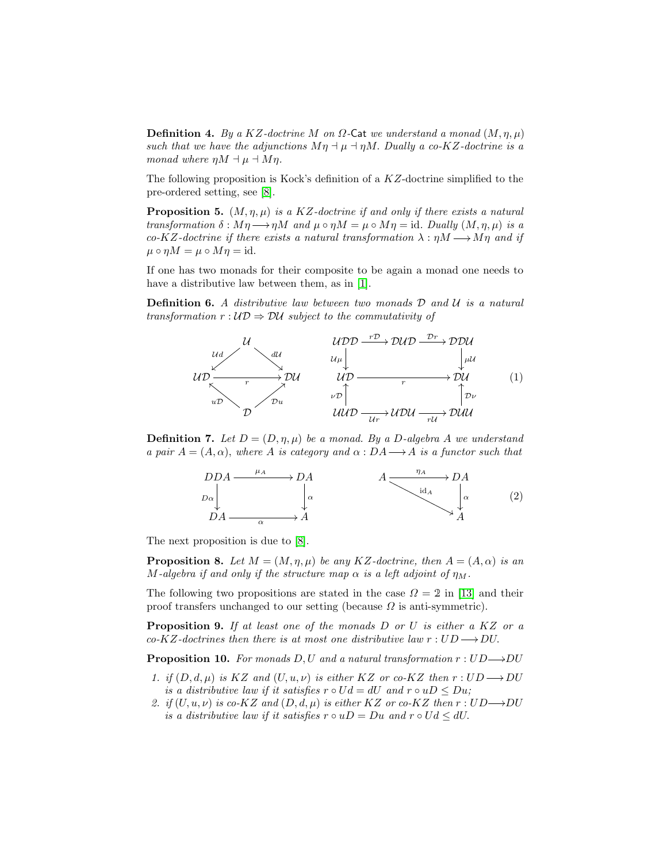**Definition 4.** By a KZ-doctrine M on  $\Omega$ -Cat we understand a monad  $(M, \eta, \mu)$ such that we have the adjunctions  $M\eta \dashv \mu \dashv \eta M$ . Dually a co-KZ-doctrine is a monad where  $\eta M \dashv \mu \dashv M\eta$ .

The following proposition is Kock's definition of a KZ-doctrine simplified to the pre-ordered setting, see [\[8\]](#page-19-14).

<span id="page-4-0"></span>**Proposition 5.**  $(M, \eta, \mu)$  is a KZ-doctrine if and only if there exists a natural transformation  $\delta : M\eta \longrightarrow \eta M$  and  $\mu \circ \eta M = \mu \circ M\eta = id$ . Dually  $(M, \eta, \mu)$  is a co-KZ-doctrine if there exists a natural transformation  $\lambda : \eta M \longrightarrow M\eta$  and if  $\mu \circ \eta M = \mu \circ M\eta = \text{id}.$ 

If one has two monads for their composite to be again a monad one needs to have a distributive law between them, as in [\[1\]](#page-18-2).

**Definition 6.** A distributive law between two monads  $D$  and  $U$  is a natural transformation  $r : U\mathcal{D} \Rightarrow \mathcal{D}U$  subject to the commutativity of



**Definition 7.** Let  $D = (D, \eta, \mu)$  be a monad. By a D-algebra A we understand a pair  $A = (A, \alpha)$ , where A is category and  $\alpha : DA \longrightarrow A$  is a functor such that



The next proposition is due to [\[8\]](#page-19-14).

**Proposition 8.** Let  $M = (M, \eta, \mu)$  be any KZ-doctrine, then  $A = (A, \alpha)$  is an M-algebra if and only if the structure map  $\alpha$  is a left adjoint of  $\eta_M$ .

The following two propositions are stated in the case  $\Omega = 2$  in [\[13\]](#page-19-2) and their proof transfers unchanged to our setting (because  $\Omega$  is anti-symmetric).

**Proposition 9.** If at least one of the monads D or U is either a  $KZ$  or a co-KZ-doctrines then there is at most one distributive law  $r:UD\longrightarrow DU$ .

<span id="page-4-1"></span>**Proposition 10.** For monads D, U and a natural transformation  $r:UD\rightarrow DU$ 

- 1. if  $(D, d, \mu)$  is KZ and  $(U, u, \nu)$  is either KZ or co-KZ then  $r : UD \longrightarrow DU$ is a distributive law if it satisfies  $r \circ Ud = dU$  and  $r \circ uD \le Du$ ;
- 2. if  $(U, u, \nu)$  is co-KZ and  $(D, d, \mu)$  is either KZ or co-KZ then  $r : UD{\longrightarrow}DU$ is a distributive law if it satisfies  $r \circ uD = Du$  and  $r \circ Ud \le dU$ .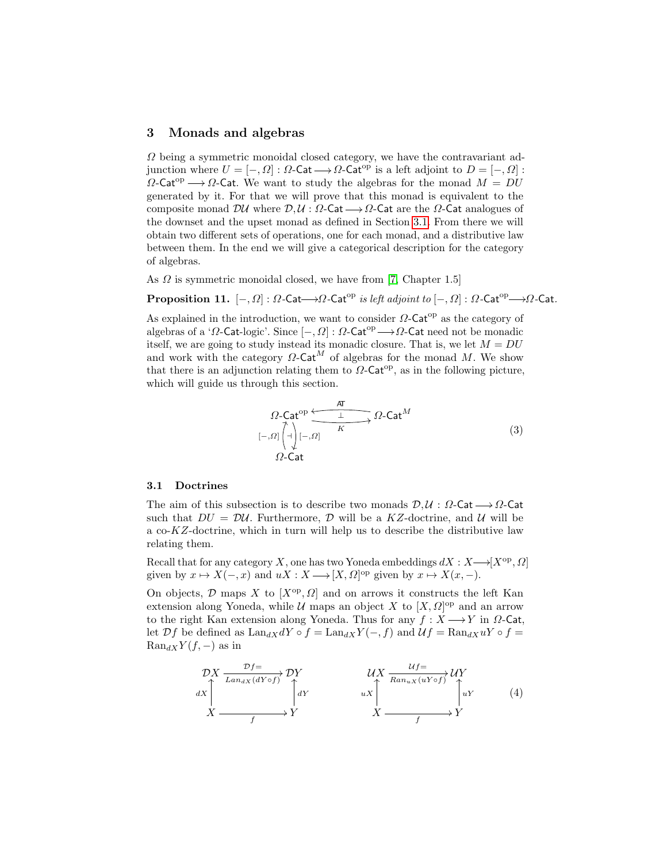## <span id="page-5-1"></span>3 Monads and algebras

 $\Omega$  being a symmetric monoidal closed category, we have the contravariant adjunction where  $U = [-, \Omega] : \Omega$ -Cat $\longrightarrow \Omega$ -Cat<sup>op</sup> is a left adjoint to  $D = [-, \Omega]$ :  $\Omega$ -Cat<sup>op</sup>  $\longrightarrow \Omega$ -Cat. We want to study the algebras for the monad  $M = DU$ generated by it. For that we will prove that this monad is equivalent to the composite monad  $\mathcal{D}U$  where  $\mathcal{D}, \mathcal{U} : \Omega$ -Cat  $\longrightarrow \Omega$ -Cat are the  $\Omega$ -Cat analogues of the downset and the upset monad as defined in Section [3.1.](#page-5-2) From there we will obtain two different sets of operations, one for each monad, and a distributive law between them. In the end we will give a categorical description for the category of algebras.

As  $\Omega$  is symmetric monoidal closed, we have from [\[7,](#page-19-11) Chapter 1.5]

**Proposition 11.**  $[-, \Omega] : \Omega$ -Cat $\longrightarrow \Omega$ -Cat<sup>op</sup> is left adjoint to  $[-, \Omega] : \Omega$ -Cat<sup>op</sup>  $\longrightarrow \Omega$ -Cat.

As explained in the introduction, we want to consider  $\Omega$ -Cat<sup>op</sup> as the category of algebras of a ' $\Omega$ -Cat-logic'. Since  $[-, \Omega] : \Omega$ -Cat<sup>op</sup>  $\longrightarrow \Omega$ -Cat need not be monadic itself, we are going to study instead its monadic closure. That is, we let  $M = DU$ and work with the category  $\Omega$ -Cat<sup>M</sup> of algebras for the monad M. We show that there is an adjunction relating them to  $\Omega$ -Cat<sup>op</sup>, as in the following picture, which will guide us through this section.

<span id="page-5-0"></span>
$$
\Omega\text{-Cat}^{\text{op}}\xrightarrow{\text{AT}}\Omega\text{-Cat}^M
$$
\n
$$
[-,0]\begin{pmatrix} 1 \\ -1 \end{pmatrix} [-,0]\xrightarrow{K}\Omega\text{-Cat}^M
$$
\n
$$
\Omega\text{-Cat}
$$
\n(3)

## <span id="page-5-2"></span>3.1 Doctrines

The aim of this subsection is to describe two monads  $\mathcal{D}, \mathcal{U} : \Omega$ -Cat  $\longrightarrow \Omega$ -Cat such that  $DU = D\mathcal{U}$ . Furthermore, D will be a KZ-doctrine, and U will be a co-KZ-doctrine, which in turn will help us to describe the distributive law relating them.

Recall that for any category X, one has two Yoneda embeddings  $dX : X \longrightarrow [X^{op}, \Omega]$ given by  $x \mapsto X(-, x)$  and  $uX : X \longrightarrow [X, \Omega]^{op}$  given by  $x \mapsto X(x, -)$ .

On objects,  $D$  maps X to  $[X^{\text{op}}, \Omega]$  and on arrows it constructs the left Kan extension along Yoneda, while  $\mathcal U$  maps an object X to  $[X,\Omega]$ <sup>op</sup> and an arrow to the right Kan extension along Yoneda. Thus for any  $f : X \longrightarrow Y$  in  $\Omega$ -Cat, let  $\mathcal{D}f$  be defined as  $\text{Lan}_{dX}dY \circ f = \text{Lan}_{dX}Y(-, f)$  and  $\mathcal{U}f = \text{Ran}_{dX}uY \circ f =$  $\text{Ran}_{dX}Y(f, -)$  as in

$$
\begin{array}{ccc}\n\mathcal{D}X & \xrightarrow{\mathcal{D}f=} & \mathcal{D}Y & & \mathcal{U}X & \xrightarrow{\mathcal{U}f=} & \mathcal{U}Y \\
dX & & & & \downarrow dY & & \downarrow dY \\
X & & & & \downarrow dY & & \downarrow dY & & \downarrow dY \\
X & & & & & \downarrow dY & & X & \xrightarrow{f} & & Y\n\end{array} \qquad (4)
$$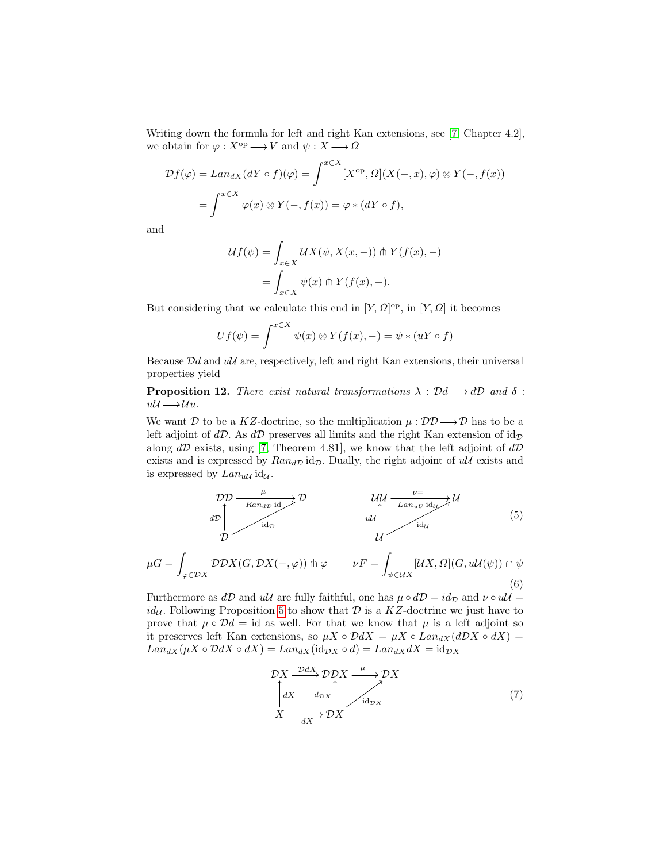Writing down the formula for left and right Kan extensions, see [\[7,](#page-19-11) Chapter 4.2], we obtain for  $\varphi : X^{\text{op}} \longrightarrow V$  and  $\psi : X \longrightarrow \Omega$ 

$$
\mathcal{D}f(\varphi) = \operatorname{Lan}_{dX}(dY \circ f)(\varphi) = \int^{x \in X} [X^{\mathrm{op}}, \Omega](X(-,x), \varphi) \otimes Y(-, f(x))
$$

$$
= \int^{x \in X} \varphi(x) \otimes Y(-, f(x)) = \varphi * (dY \circ f),
$$

and

$$
\mathcal{U}f(\psi) = \int_{x \in X} \mathcal{U}X(\psi, X(x, -)) \pitchfork Y(f(x), -)
$$

$$
= \int_{x \in X} \psi(x) \pitchfork Y(f(x), -).
$$

But considering that we calculate this end in  $[Y,\Omega]$ <sup>op</sup>, in  $[Y,\Omega]$  it becomes

$$
Uf(\psi) = \int^{x \in X} \psi(x) \otimes Y(f(x), -) = \psi * (uY \circ f)
$$

Because  $Dd$  and  $u\mathcal{U}$  are, respectively, left and right Kan extensions, their universal properties yield

**Proposition 12.** There exist natural transformations  $\lambda : \mathcal{D}d \longrightarrow d\mathcal{D}$  and  $\delta$ :  $u\mathcal{U}\longrightarrow\mathcal{U}u.$ 

We want D to be a KZ-doctrine, so the multiplication  $\mu : \mathcal{DD} \longrightarrow \mathcal{D}$  has to be a left adjoint of  $d\mathcal{D}$ . As  $d\mathcal{D}$  preserves all limits and the right Kan extension of  $id_{\mathcal{D}}$ along  $d\mathcal{D}$  exists, using [\[7,](#page-19-11) Theorem 4.81], we know that the left adjoint of  $d\mathcal{D}$ exists and is expressed by  $Ran_{dD}$  id<sub>D</sub>. Dually, the right adjoint of  $u\mathcal{U}$  exists and is expressed by  $Lan_{u\mathcal{U}} id_{\mathcal{U}}$ .

$$
\begin{array}{ccc}\n\mathcal{D}\mathcal{D} & \xrightarrow{\mu} & \mathcal{D} & \mathcal{U}\mathcal{U} & \xrightarrow{\nu} & \mathcal{U} \\
d\mathcal{D} & & & \downarrow \mathcal{U} & \downarrow \text{and} & \downarrow \text{and} \\
\mathcal{D} & & & \downarrow \mathcal{U} & \downarrow \text{and} & \downarrow \text{and} & \downarrow \text{and} & \downarrow \text{and} & \downarrow \text{and} & \downarrow \text{and} & \downarrow \text{and} & \downarrow \text{and} & \downarrow \text{and} & \downarrow \text{and} & \downarrow \text{and} & \downarrow \text{and} & \downarrow \text{and} & \downarrow \text{and} & \downarrow \text{and} & \downarrow \text{and} & \downarrow \text{and} & \downarrow \text{and} & \downarrow \text{and} & \downarrow \text{and} & \downarrow \text{and} & \downarrow \text{and} & \downarrow \text{and} & \downarrow \text{and} & \downarrow \text{and} & \downarrow \text{and} & \downarrow \text{and} & \downarrow \text{and} & \downarrow \text{and} & \downarrow \text{and} & \downarrow \text{and} & \downarrow \text{and} & \downarrow \text{and} & \downarrow \text{and} & \downarrow \text{and} & \downarrow \text{and} & \downarrow \text{and} & \downarrow \text{and} & \downarrow \text{and} & \downarrow \text{and} & \downarrow \text{and} & \downarrow \text{and} & \downarrow \text{and} & \downarrow \text{and} & \downarrow \text{and} & \downarrow \text{and} & \downarrow \text{and} & \downarrow \text{and} & \downarrow \text{and} & \downarrow \text{and} & \downarrow \text{and} & \downarrow \text{and} & \downarrow \text{and} & \downarrow \text{and} & \downarrow \text{and} & \downarrow \text{and} & \downarrow \text{and} & \downarrow \text{and} & \downarrow \text{and} & \downarrow \text{and} & \downarrow \text{and} & \downarrow \text{and} & \downarrow \text{and} & \downarrow \text{and} & \downarrow \text{and} & \downarrow \text{and} & \downarrow \text{and} & \downarrow \text{and} & \downarrow \text{and} & \downarrow \text{and} & \downarrow \text{and} & \downarrow \
$$

$$
\mu G = \int_{\varphi \in \mathcal{D}X} \mathcal{D} \mathcal{D}X(G, \mathcal{D}X(-, \varphi)) \pitchfork \varphi \qquad \nu F = \int_{\psi \in \mathcal{U}X} [\mathcal{U}X, \Omega](G, \mathcal{U}(\psi)) \pitchfork \psi
$$
\n(6)

Furthermore as  $d\mathcal{D}$  and  $u\mathcal{U}$  are fully faithful, one has  $\mu \circ d\mathcal{D} = id_{\mathcal{D}}$  and  $\nu \circ u\mathcal{U} =$  $id_{\mathcal{U}}$ . Following Proposition [5](#page-4-0) to show that  $\mathcal{D}$  is a KZ-doctrine we just have to prove that  $\mu \circ \mathcal{D}d = id$  as well. For that we know that  $\mu$  is a left adjoint so it preserves left Kan extensions, so  $\mu X \circ \mathcal{D}dX = \mu X \circ Lan_{dX}(d\mathcal{D}X \circ dX) =$  $Lan_{dX}(\mu X \circ \mathcal{D}dX \circ dX) = Lan_{dX}(\mathrm{id}_{\mathcal{D}X} \circ d) = Lan_{dX}dX = \mathrm{id}_{\mathcal{D}X}$ 

$$
\mathcal{D}X \xrightarrow{DdX} \mathcal{D}DX \xrightarrow{\mu} \mathcal{D}X
$$
\n
$$
\begin{bmatrix}\n dX & d_{DX} \\
 X & \xrightarrow{dX} \mathcal{D}X\n\end{bmatrix}\n\qquad\n\begin{aligned}\n\mathcal{D}X &\xrightarrow{d_{DX}} (7)\n\end{aligned}
$$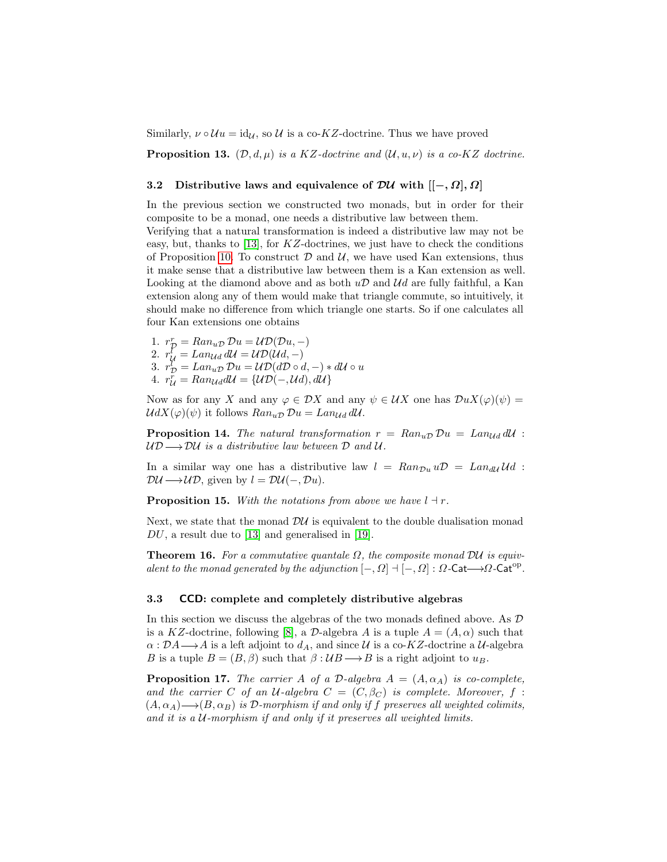Similarly,  $\nu \circ \mathcal{U} u = id_{\mathcal{U}}$ , so  $\mathcal{U}$  is a co-KZ-doctrine. Thus we have proved

**Proposition 13.**  $(\mathcal{D}, d, \mu)$  is a KZ-doctrine and  $(\mathcal{U}, u, \nu)$  is a co-KZ doctrine.

# 3.2 Distributive laws and equivalence of  $\mathcal{D}U$  with  $\left[ \left[-, \Omega \right], \Omega \right]$

In the previous section we constructed two monads, but in order for their composite to be a monad, one needs a distributive law between them.

Verifying that a natural transformation is indeed a distributive law may not be easy, but, thanks to [\[13\]](#page-19-2), for  $KZ$ -doctrines, we just have to check the conditions of Proposition [10.](#page-4-1) To construct  $D$  and  $U$ , we have used Kan extensions, thus it make sense that a distributive law between them is a Kan extension as well. Looking at the diamond above and as both  $u\mathcal{D}$  and  $\mathcal{U}d$  are fully faithful, a Kan extension along any of them would make that triangle commute, so intuitively, it should make no difference from which triangle one starts. So if one calculates all four Kan extensions one obtains

1.  $r_{\mathcal{D}}^r = Ran_{u\mathcal{D}} \mathcal{D}u = \mathcal{UD}(\mathcal{D}u, -)$ 2.  $r^{\bar{l}}_{\mathcal{U}} = Lan_{\mathcal{U}d} d\mathcal{U} = \mathcal{UD}(\mathcal{U}d, -)$ 3.  $r_{\mathcal{D}}^{\tilde{l}} = Lan_{u\mathcal{D}}\mathcal{D}u = \mathcal{UD}(d\mathcal{D}\circ d, -) * d\mathcal{U} \circ u$ 4.  $r_{\mathcal{U}}^{\bar{r}} = Ran_{\mathcal{U}} d\mathcal{U} = {\mathcal{U}} \mathcal{D}(-\mathcal{U}d), d\mathcal{U}$ 

Now as for any X and any  $\varphi \in \mathcal{D}X$  and any  $\psi \in \mathcal{U}X$  one has  $\mathcal{D}uX(\varphi)(\psi) =$  $UdX(\varphi)(\psi)$  it follows  $Ran_{\mathbf{u}\mathcal{D}}\mathcal{D}\mathbf{u}=Lan_{\mathbf{U}\mathbf{d}}\mathbf{d}\mathbf{U}$ .

**Proposition 14.** The natural transformation  $r = Ran_{uD} Du = Lan_{Ud} dU$ :  $UD \longrightarrow DU$  is a distributive law between  $D$  and  $U$ .

In a similar way one has a distributive law  $l = Ran_{\mathcal{D}u} u\mathcal{D} = Lan_{d\mathcal{U}}\mathcal{U}d$ :  $\mathcal{D}\mathcal{U}\longrightarrow\mathcal{U}\mathcal{D}$ , given by  $l=\mathcal{D}\mathcal{U}(-,\mathcal{D}u)$ .

**Proposition 15.** With the notations from above we have  $l \dashv r$ .

Next, we state that the monad  $\mathcal{D}\mathcal{U}$  is equivalent to the double dualisation monad  $DU$ , a result due to [\[13\]](#page-19-2) and generalised in [\[19\]](#page-19-3).

<span id="page-7-0"></span>**Theorem 16.** For a commutative quantale  $\Omega$ , the composite monad DU is equivalent to the monad generated by the adjunction  $[-, \Omega] \dashv [-, \Omega] : \Omega$ -Cat $\longrightarrow \Omega$ -Cat<sup>op</sup>.

#### 3.3 CCD: complete and completely distributive algebras

In this section we discuss the algebras of the two monads defined above. As D is a KZ-doctrine, following [\[8\]](#page-19-14), a D-algebra A is a tuple  $A = (A, \alpha)$  such that  $\alpha : \mathcal{D}A \longrightarrow A$  is a left adjoint to  $d_A$ , and since U is a co-KZ-doctrine a U-algebra B is a tuple  $B = (B, \beta)$  such that  $\beta : \mathcal{U}B \longrightarrow B$  is a right adjoint to  $u_B$ .

**Proposition 17.** The carrier A of a D-algebra  $A = (A, \alpha_A)$  is co-complete, and the carrier C of an U-algebra  $C = (C, \beta_C)$  is complete. Moreover, f:  $(A, \alpha_A) \rightarrow (B, \alpha_B)$  is D-morphism if and only if f preserves all weighted colimits, and it is a U-morphism if and only if it preserves all weighted limits.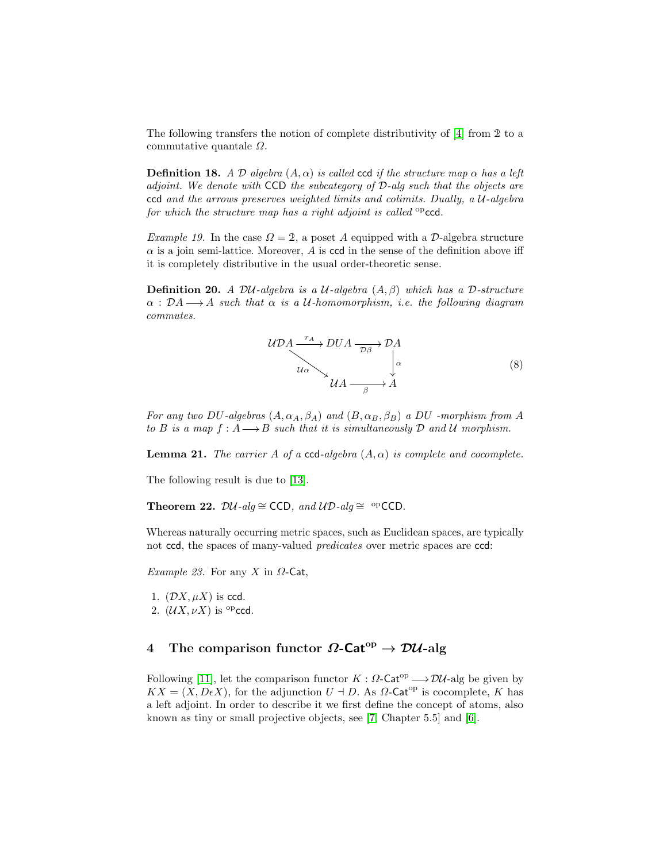The following transfers the notion of complete distributivity of [\[4\]](#page-18-3) from 2 to a commutative quantale  $\Omega$ .

<span id="page-8-2"></span>**Definition 18.** A D algebra  $(A, \alpha)$  is called ccd if the structure map  $\alpha$  has a left adjoint. We denote with CCD the subcategory of D-alg such that the objects are ccd and the arrows preserves weighted limits and colimits. Dually, a  $\mathcal{U}\text{-algebra}$ for which the structure map has a right adjoint is called  $^{op}$ ccd.

Example 19. In the case  $\Omega = 2$ , a poset A equipped with a D-algebra structure  $\alpha$  is a join semi-lattice. Moreover, A is ccd in the sense of the definition above iff it is completely distributive in the usual order-theoretic sense.

**Definition 20.** A DU-algebra is a U-algebra  $(A, \beta)$  which has a D-structure  $\alpha : DA \longrightarrow A$  such that  $\alpha$  is a U-homomorphism, i.e. the following diagram commutes.

$$
UDA \xrightarrow{r_A} DUA \xrightarrow{\mathcal{D}\beta} \mathcal{D}A
$$
  
\n
$$
u_{\alpha} \rightarrow \mathcal{U}A \xrightarrow{\beta} A
$$
 (8)

For any two DU-algebras  $(A, \alpha_A, \beta_A)$  and  $(B, \alpha_B, \beta_B)$  a DU -morphism from A to B is a map  $f : A \longrightarrow B$  such that it is simultaneously D and U morphism.

**Lemma 21.** The carrier A of a ccd-algebra  $(A, \alpha)$  is complete and cocomplete.

<span id="page-8-0"></span>The following result is due to [\[13\]](#page-19-2).

Theorem 22.  $\mathcal{D}U$ -alg ≅ CCD, and  $\mathcal{UD}$ -alg ≅ <sup>op</sup>CCD.

Whereas naturally occurring metric spaces, such as Euclidean spaces, are typically not ccd, the spaces of many-valued predicates over metric spaces are ccd:

*Example 23.* For any X in  $\Omega$ -Cat,

1.  $(DX, \mu X)$  is ccd. 2.  $(\mathcal{U}X, \nu X)$  is <sup>op</sup>ccd.

# <span id="page-8-1"></span>4 The comparison functor  $\Omega$ -Cat<sup>op</sup>  $\rightarrow \mathcal{D}\mathcal{U}$ -alg

Following [\[11\]](#page-19-16), let the comparison functor  $K : \Omega$ -Cat<sup>op</sup>  $\longrightarrow \mathcal{D}U$ -alg be given by  $KX = (X, D\epsilon X)$ , for the adjunction  $U \perp D$ . As  $\Omega$ -Cat<sup>op</sup> is cocomplete, K has a left adjoint. In order to describe it we first define the concept of atoms, also known as tiny or small projective objects, see [\[7,](#page-19-11) Chapter 5.5] and [\[6\]](#page-19-17).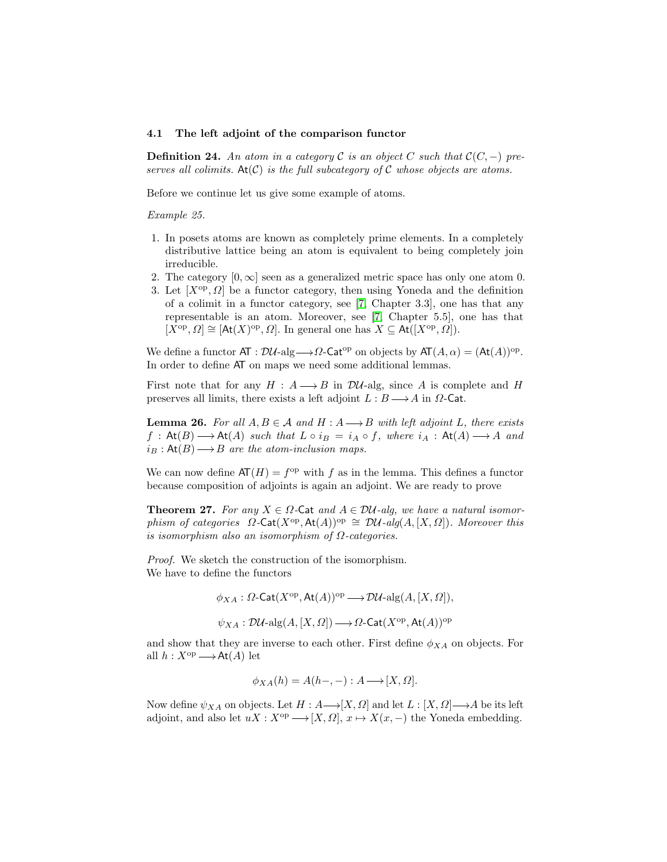#### 4.1 The left adjoint of the comparison functor

**Definition 24.** An atom in a category C is an object C such that  $\mathcal{C}(C, -)$  preserves all colimits.  $At(C)$  is the full subcategory of C whose objects are atoms.

Before we continue let us give some example of atoms.

#### Example 25.

- 1. In posets atoms are known as completely prime elements. In a completely distributive lattice being an atom is equivalent to being completely join irreducible.
- 2. The category  $[0, \infty]$  seen as a generalized metric space has only one atom 0.
- 3. Let  $[X^{\text{op}}, \Omega]$  be a functor category, then using Yoneda and the definition of a colimit in a functor category, see [\[7,](#page-19-11) Chapter 3.3], one has that any representable is an atom. Moreover, see [\[7,](#page-19-11) Chapter 5.5], one has that  $[X^{\text{op}}, \Omega] \cong [\text{At}(X)^{\text{op}}, \Omega]$ . In general one has  $X \subseteq \text{At}([X^{\text{op}}, \Omega])$ .

We define a functor  $AT : D\mathcal{U}\text{-alg} \longrightarrow \Omega\text{-Cat}^{\text{op}}$  on objects by  $AT(A, \alpha) = (At(A))^{\text{op}}$ . In order to define AT on maps we need some additional lemmas.

First note that for any  $H : A \longrightarrow B$  in  $\mathcal{D}U$ -alg, since A is complete and H preserves all limits, there exists a left adjoint  $L : B \longrightarrow A$  in  $\Omega$ -Cat.

**Lemma 26.** For all  $A, B \in \mathcal{A}$  and  $H : A \longrightarrow B$  with left adjoint L, there exists  $f: \mathsf{At}(B) \longrightarrow \mathsf{At}(A)$  such that  $L \circ i_B = i_A \circ f$ , where  $i_A: \mathsf{At}(A) \longrightarrow A$  and  $i_B:At(B) \longrightarrow B$  are the atom-inclusion maps.

We can now define  $AT(H) = f^{\rm op}$  with f as in the lemma. This defines a functor because composition of adjoints is again an adjoint. We are ready to prove

<span id="page-9-0"></span>**Theorem 27.** For any  $X \in \Omega$ -Cat and  $A \in \mathcal{DU}$ -alg, we have a natural isomorphism of categories  $\Omega$ -Cat $(X^{\text{op}}, \text{At}(A))^{\text{op}} \cong \mathcal{D} \mathcal{U}$ -alg $(A, [X, \Omega])$ . Moreover this is isomorphism also an isomorphism of  $\Omega$ -categories.

Proof. We sketch the construction of the isomorphism. We have to define the functors

> $\phi_{XA}: \Omega\text{-}\mathsf{Cat}(X^{op},\mathsf{At}(A))^{op}\longrightarrow \mathcal{D}\mathcal{U}\text{-}\mathrm{alg}(A,[X,\Omega]),$  $\psi_{XA}: \mathcal{D}\mathcal{U}\text{-}\mathrm{alg}(A, [X, \Omega]) \longrightarrow \Omega\text{-}\mathsf{Cat}(X^{\mathrm{op}}, \mathsf{At}(A))^{\mathrm{op}}$

and show that they are inverse to each other. First define  $\phi_{XA}$  on objects. For all  $h: X^{\text{op}} \longrightarrow \text{At}(A)$  let

$$
\phi_{XA}(h) = A(h-,-) : A \longrightarrow [X,\Omega].
$$

Now define  $\psi_{XA}$  on objects. Let  $H : A \longrightarrow [X, \Omega]$  and let  $L : [X, \Omega] \longrightarrow A$  be its left adjoint, and also let  $uX : X^{\text{op}} \longrightarrow [X, \Omega], x \mapsto X(x, -)$  the Yoneda embedding.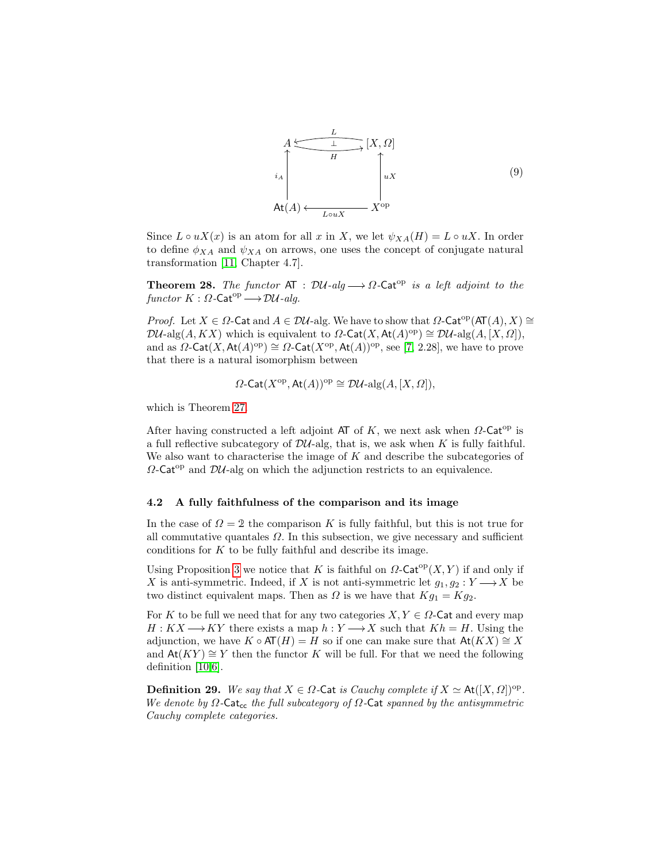

Since  $L \circ uX(x)$  is an atom for all x in X, we let  $\psi_{XA}(H) = L \circ uX$ . In order to define  $\phi_{XA}$  and  $\psi_{XA}$  on arrows, one uses the concept of conjugate natural transformation [\[11,](#page-19-16) Chapter 4.7].

**Theorem 28.** The functor AT :  $\mathcal{D}U$ -alg  $\longrightarrow \Omega$ -Cat<sup>op</sup> is a left adjoint to the functor  $K : \Omega$ -Cat<sup>op</sup>  $\longrightarrow \mathcal{D} \mathcal{U}$ -alg.

*Proof.* Let  $X \in \Omega$ -Cat and  $A \in \mathcal{DU}$ -alg. We have to show that  $\Omega$ -Cat<sup>op</sup>(AT(A), X) ≅  $\mathcal{D}\mathcal{U}\text{-alg}(A, KX)$  which is equivalent to  $\Omega\text{-}\mathsf{Cat}(X, \mathsf{At}(A)^\text{op}) \cong \mathcal{D}\mathcal{U}\text{-}\mathrm{alg}(A, [X, \Omega]),$ and as  $\Omega$ -Cat(X, At(A)<sup>op</sup>)  $\cong \Omega$ -Cat(X<sup>op</sup>, At(A))<sup>op</sup>, see [\[7,](#page-19-11) 2.28], we have to prove that there is a natural isomorphism between

$$
\Omega\text{-Cat}(X^{\text{op}}, \text{At}(A))^{\text{op}} \cong \mathcal{D} \mathcal{U}\text{-alg}(A, [X, \Omega]),
$$

which is Theorem [27.](#page-9-0)

After having constructed a left adjoint AT of K, we next ask when  $\Omega$ -Cat<sup>op</sup> is a full reflective subcategory of  $\mathcal{D}U$ -alg, that is, we ask when K is fully faithful. We also want to characterise the image of  $K$  and describe the subcategories of  $\Omega$ -Cat<sup>op</sup> and  $\mathcal{D}U$ -alg on which the adjunction restricts to an equivalence.

### 4.2 A fully faithfulness of the comparison and its image

In the case of  $\Omega = 2$  the comparison K is fully faithful, but this is not true for all commutative quantales  $\Omega$ . In this subsection, we give necessary and sufficient conditions for  $K$  to be fully faithful and describe its image.

Using Proposition [3](#page-3-0) we notice that K is faithful on  $\Omega$ -Cat<sup>op</sup>(X, Y) if and only if X is anti-symmetric. Indeed, if X is not anti-symmetric let  $q_1, q_2 : Y \longrightarrow X$  be two distinct equivalent maps. Then as  $\Omega$  is we have that  $Kg_1 = Kg_2$ .

For K to be full we need that for any two categories  $X, Y \in \Omega$ -Cat and every map  $H: KX \longrightarrow KY$  there exists a map  $h: Y \longrightarrow X$  such that  $Kh = H$ . Using the adjunction, we have  $K \circ AT(H) = H$  so if one can make sure that  $At(KX) \cong X$ and  $At(KY) \cong Y$  then the functor K will be full. For that we need the following definition [\[10,](#page-19-12)[6\]](#page-19-17).

**Definition 29.** We say that  $X \in \Omega$ -Cat is Cauchy complete if  $X \simeq \text{At}([X, \Omega])^{\text{op}}$ . We denote by  $\Omega$ -Cat<sub>cc</sub> the full subcategory of  $\Omega$ -Cat spanned by the antisymmetric Cauchy complete categories.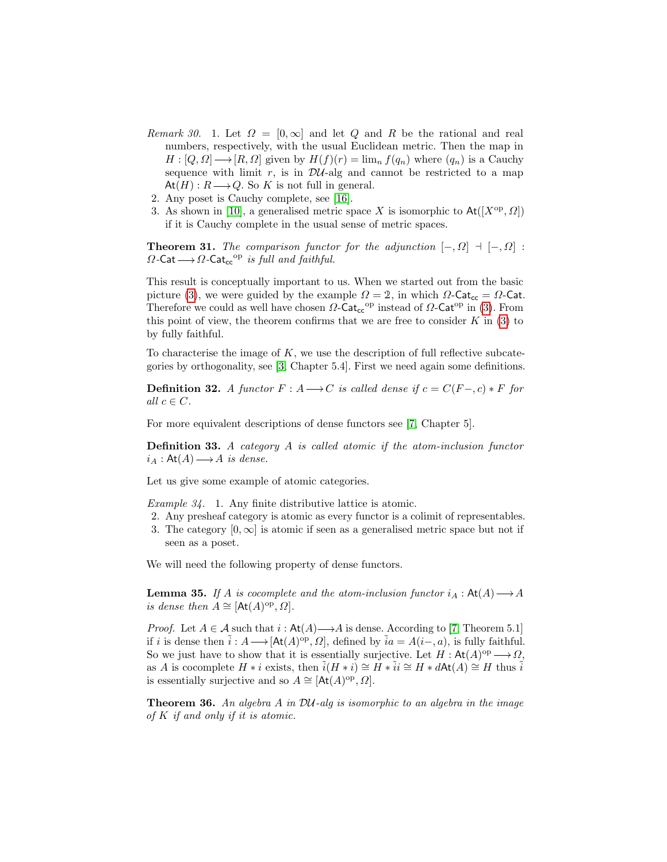- Remark 30. 1. Let  $\Omega = [0,\infty]$  and let Q and R be the rational and real numbers, respectively, with the usual Euclidean metric. Then the map in  $H: [Q, \Omega] \longrightarrow [R, \Omega]$  given by  $H(f)(r) = \lim_{n} f(q_n)$  where  $(q_n)$  is a Cauchy sequence with limit  $r$ , is in  $\mathcal{D}U$ -alg and cannot be restricted to a map  $At(H): R \longrightarrow Q$ . So K is not full in general.
- 2. Any poset is Cauchy complete, see [\[16\]](#page-19-18).
- 3. As shown in [\[10\]](#page-19-12), a generalised metric space X is isomorphic to  $\text{At}([X^{\text{op}}, \Omega])$ if it is Cauchy complete in the usual sense of metric spaces.

**Theorem 31.** The comparison functor for the adjunction  $[-, \Omega]$  +  $[-, \Omega]$ :  $\Omega$ -Cat $\longrightarrow \Omega$ -Cat<sub>cc</sub><sup>op</sup> is full and faithful.

This result is conceptually important to us. When we started out from the basic picture [\(3\)](#page-5-0), we were guided by the example  $\Omega = 2$ , in which  $\Omega$ -Cat. Therefore we could as well have chosen  $\Omega$ -Cat<sub>cc</sub><sup>op</sup> instead of  $\Omega$ -Cat<sup>op</sup> in [\(3\)](#page-5-0). From this point of view, the theorem confirms that we are free to consider  $K$  in [\(3\)](#page-5-0) to by fully faithful.

To characterise the image of  $K$ , we use the description of full reflective subcategories by orthogonality, see [\[3,](#page-18-4) Chapter 5.4]. First we need again some definitions.

**Definition 32.** A functor  $F : A \longrightarrow C$  is called dense if  $c = C(F-, c) * F$  for all  $c \in C$ .

For more equivalent descriptions of dense functors see [\[7,](#page-19-11) Chapter 5].

Definition 33. A category A is called atomic if the atom-inclusion functor  $i_A : \mathsf{At}(A) \longrightarrow A \text{ is dense.}$ 

Let us give some example of atomic categories.

Example 34. 1. Any finite distributive lattice is atomic.

- 2. Any presheaf category is atomic as every functor is a colimit of representables.
- 3. The category  $[0, \infty]$  is atomic if seen as a generalised metric space but not if seen as a poset.

<span id="page-11-0"></span>We will need the following property of dense functors.

**Lemma 35.** If A is cocomplete and the atom-inclusion functor  $i_A : \text{At}(A) \longrightarrow A$ is dense then  $A \cong [At(A)^{op}, \Omega].$ 

*Proof.* Let  $A \in \mathcal{A}$  such that  $i : \text{At}(A) \longrightarrow A$  is dense. According to [\[7,](#page-19-11) Theorem 5.1] if i is dense then  $\tilde{i}: A \longrightarrow [At(A)^{op}, \Omega]$ , defined by  $\tilde{i}a = A(i-, a)$ , is fully faithful. So we just have to show that it is essentially surjective. Let  $H : \mathsf{At}(A)^\text{op} \longrightarrow \Omega$ , as A is cocomplete  $H * i$  exists, then  $\tilde{i}(H * i) \cong H * \tilde{i}i \cong H * d\text{At}(A) \cong H$  thus  $\tilde{i}$ is essentially surjective and so  $A \cong [At(A)^{op}, \Omega].$ 

**Theorem 36.** An algebra A in  $\mathcal{D}U$ -alg is isomorphic to an algebra in the image of K if and only if it is atomic.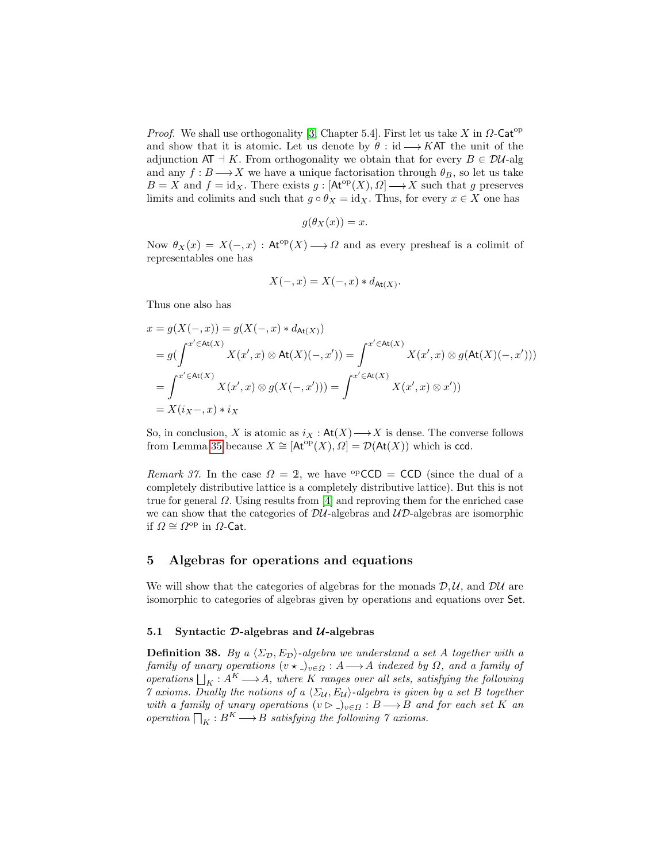*Proof.* We shall use orthogonality [\[3,](#page-18-4) Chapter 5.4]. First let us take X in  $\Omega$ -Cat<sup>op</sup> and show that it is atomic. Let us denote by  $\theta : id \longrightarrow KAT$  the unit of the adjunction AT  $\exists K$ . From orthogonality we obtain that for every  $B \in \mathcal{D}U$ -alg and any  $f : B \longrightarrow X$  we have a unique factorisation through  $\theta_B$ , so let us take  $B = X$  and  $f = id_X$ . There exists  $g : [At^{\text{op}}(X), \Omega] \longrightarrow X$  such that g preserves limits and colimits and such that  $g \circ \theta_X = id_X$ . Thus, for every  $x \in X$  one has

$$
g(\theta_X(x)) = x.
$$

Now  $\theta_X(x) = X(-,x) : \text{At}^{op}(X) \longrightarrow \Omega$  and as every presheaf is a colimit of representables one has

$$
X(-,x) = X(-,x) * d_{\text{At}(X)}.
$$

Thus one also has

$$
x = g(X(-,x)) = g(X(-,x) * d_{\text{At}(X)})
$$
  
\n
$$
= g(\int^{x' \in \text{At}(X)} X(x',x) \otimes \text{At}(X)(-,x')) = \int^{x' \in \text{At}(X)} X(x',x) \otimes g(\text{At}(X)(-,x')))
$$
  
\n
$$
= \int^{x' \in \text{At}(X)} X(x',x) \otimes g(X(-,x')) = \int^{x' \in \text{At}(X)} X(x',x) \otimes x'))
$$
  
\n
$$
= X(i_X-,x) * i_X
$$

So, in conclusion, X is atomic as  $i_X : \mathsf{At}(X) \longrightarrow X$  is dense. The converse follows from Lemma [35](#page-11-0) because  $X \cong [At^{\rm op}(X), \Omega] = \mathcal{D}(At(X))$  which is ccd.

Remark 37. In the case  $\Omega = 2$ , we have <sup>op</sup>CCD = CCD (since the dual of a completely distributive lattice is a completely distributive lattice). But this is not true for general  $\Omega$ . Using results from [\[4\]](#page-18-3) and reproving them for the enriched case we can show that the categories of  $\mathcal{D}U$ -algebras and  $\mathcal{UD}$ -algebras are isomorphic if  $\Omega \cong \Omega^{\text{op}}$  in  $\Omega$ -Cat.

## 5 Algebras for operations and equations

We will show that the categories of algebras for the monads  $D, U$ , and  $D U$  are isomorphic to categories of algebras given by operations and equations over Set.

#### 5.1 Syntactic  $\mathcal{D}\text{-algebras}$  and  $\mathcal{U}\text{-algebras}$

<span id="page-12-0"></span>**Definition 38.** By a  $\langle \Sigma_{\mathcal{D}}, E_{\mathcal{D}} \rangle$ -algebra we understand a set A together with a family of unary operations  $(v \star \_)_{v \in \Omega} : A \longrightarrow A$  indexed by  $\Omega$ , and a family of operations  $\bigsqcup_K : A^K \longrightarrow A$ , where K ranges over all sets, satisfying the following 7 axioms. Dually the notions of a  $\langle \Sigma_{\mathcal{U}}, E_{\mathcal{U}} \rangle$ -algebra is given by a set B together with a family of unary operations  $(v \rhd \neg)_{v \in \Omega} : B \longrightarrow B$  and for each set K an operation  $\bigcap_K : B^K \longrightarrow B$  satisfying the following  $\gamma$  axioms.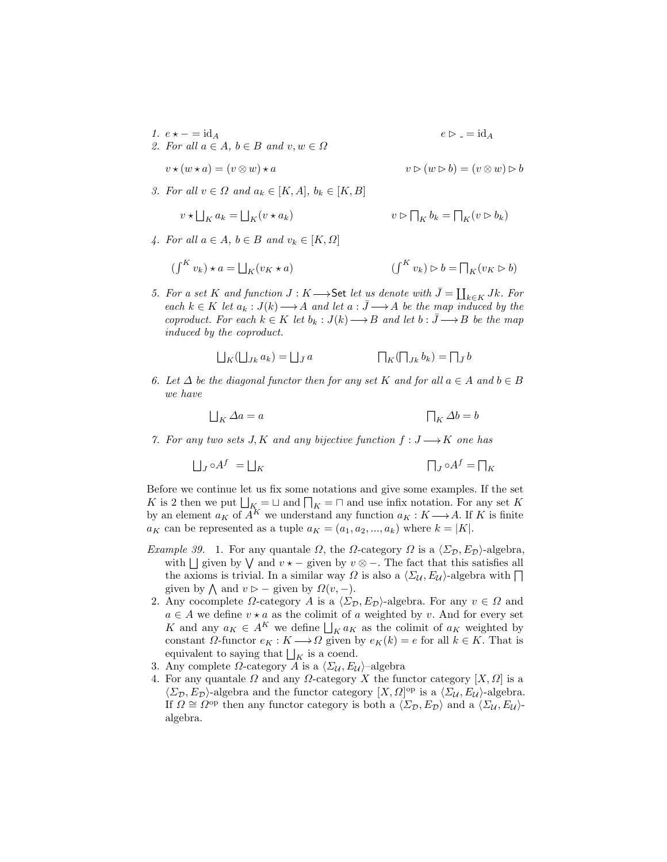- 1.  $e \star = id_A$   $e \triangleright = id_A$ 2. For all  $a \in A$ ,  $b \in B$  and  $v, w \in \Omega$  $v \star (w \star a) = (v \otimes w) \star a$   $v \triangleright (w \triangleright b) = (v \otimes w) \triangleright b$
- 3. For all  $v \in \Omega$  and  $a_k \in [K, A], b_k \in [K, B]$

$$
\star \bigsqcup_{K} a_{k} = \bigsqcup_{K} (v \star a_{k}) \qquad \qquad v \rhd \bigcap_{K} b_{k} = \bigcap_{K} (v \rhd b_{k})
$$

4. For all  $a \in A$ ,  $b \in B$  and  $v_k \in [K, \Omega]$ 

 $\upsilon$ 

$$
(\int^{K} v_{k}) \star a = \bigsqcup_{K} (v_{K} \star a) \qquad (\int^{K} v_{k}) \rhd b = \bigsqcup_{K} (v_{K} \rhd b)
$$

5. For a set K and function  $J: K \longrightarrow$  Set let us denote with  $\bar{J} = \coprod_{k \in K} Jk$ . For each  $k \in K$  let  $a_k : J(k) \longrightarrow A$  and let  $a : \bar{J} \longrightarrow A$  be the map induced by the coproduct. For each  $k \in K$  let  $b_k : J(k) \longrightarrow B$  and let  $b : \overline{J} \longrightarrow B$  be the map induced by the coproduct.

$$
\bigsqcup\nolimits_K (\bigsqcup\nolimits_{Jk} a_k) = \bigsqcup\nolimits_{\bar{J}} a \hskip 1in \prod\nolimits_K (\bigsqcap_{Jk} b_k) = \bigsqcap_{\bar{J}} b
$$

6. Let  $\Delta$  be the diagonal functor then for any set K and for all  $a \in A$  and  $b \in B$ we have

$$
\bigsqcup_K \Delta a = a \qquad \qquad \bigsqcup_K \Delta b = b
$$

7. For any two sets J, K and any bijective function  $f: J \longrightarrow K$  one has

$$
\bigsqcup_{J} \circ A^f = \bigsqcup_{K} \qquad \qquad \bigsqcup_{J} \circ A^f = \bigsqcup_{K}
$$

Before we continue let us fix some notations and give some examples. If the set K is 2 then we put  $\bigsqcup_{K} = \bigsqcup$  and  $\bigsqcup_{K} = \bigsqcup$  and use infix notation. For any set K by an element  $a_K$  of  $\overrightarrow{A}^K$  we understand any function  $a_K : K \longrightarrow A$ . If K is finite  $a_K$  can be represented as a tuple  $a_K = (a_1, a_2, ..., a_k)$  where  $k = |K|$ .

- Example 39. 1. For any quantale  $\Omega$ , the  $\Omega$ -category  $\Omega$  is a  $\langle \Sigma_{\mathcal{D}}, E_{\mathcal{D}} \rangle$ -algebra, with  $\Box$  given by  $\Diamond$  and  $v \star -$  given by  $v \otimes -$ . The fact that this satisfies all the axioms is trivial. In a similar way  $\Omega$  is also a  $\langle \Sigma_{\mathcal{U}}, E_{\mathcal{U}} \rangle$ -algebra with  $\Box$ given by  $\bigwedge$  and  $v \triangleright$  – given by  $\Omega(v, -)$ .
- 2. Any cocomplete  $\Omega$ -category A is a  $\langle \Sigma_{\mathcal{D}}, E_{\mathcal{D}} \rangle$ -algebra. For any  $v \in \Omega$  and  $a \in A$  we define  $v \star a$  as the colimit of a weighted by v. And for every set K and any  $a_K \in A^K$  we define  $\bigsqcup_K a_K$  as the colimit of  $a_K$  weighted by constant  $\Omega$ -functor  $e_K : K \longrightarrow \Omega$  given by  $e_K(k) = e$  for all  $k \in K$ . That is equivalent to saying that  $\bigsqcup_K$  is a coend.
- 3. Any complete  $\Omega$ -category A is a  $\langle \Sigma_{\mathcal{U}}, E_{\mathcal{U}} \rangle$ -algebra
- 4. For any quantale  $\Omega$  and any  $\Omega$ -category X the functor category  $[X, \Omega]$  is a  $\langle \Sigma_{\mathcal{D}}, E_{\mathcal{D}} \rangle$ -algebra and the functor category  $[X, \Omega]$ <sup>op</sup> is a  $\langle \Sigma_{\mathcal{U}}, E_{\mathcal{U}} \rangle$ -algebra. If  $\Omega \cong \Omega^{\text{op}}$  then any functor category is both a  $\langle \Sigma_{\mathcal{D}}, E_{\mathcal{D}} \rangle$  and a  $\langle \Sigma_{\mathcal{U}}, E_{\mathcal{U}} \rangle$ algebra.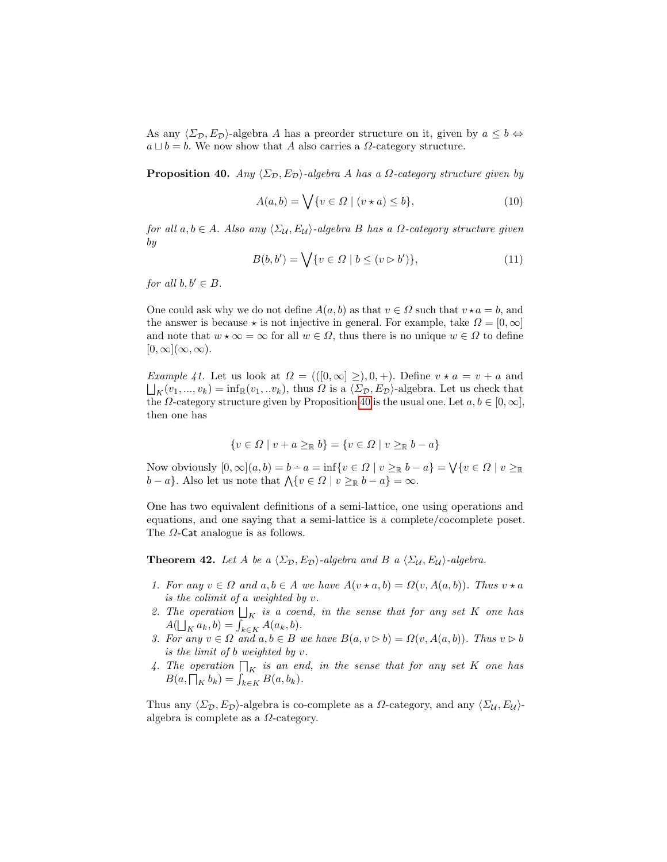As any  $\langle \Sigma_{\mathcal{D}}, E_{\mathcal{D}} \rangle$ -algebra A has a preorder structure on it, given by  $a \leq b \Leftrightarrow$  $a \sqcup b = b$ . We now show that A also carries a  $\Omega$ -category structure.

<span id="page-14-0"></span>**Proposition 40.** Any  $\langle \Sigma_{\mathcal{D}}, E_{\mathcal{D}} \rangle$ -algebra A has a  $\Omega$ -category structure given by

$$
A(a,b) = \bigvee \{v \in \Omega \mid (v \star a) \le b\},\tag{10}
$$

for all  $a, b \in A$ . Also any  $\langle \Sigma_{\mathcal{U}}, E_{\mathcal{U}} \rangle$ -algebra B has a  $\Omega$ -category structure given by

$$
B(b, b') = \bigvee \{v \in \Omega \mid b \le (v \triangleright b')\},\tag{11}
$$

for all  $b, b' \in B$ .

One could ask why we do not define  $A(a, b)$  as that  $v \in \Omega$  such that  $v \star a = b$ , and the answer is because  $\star$  is not injective in general. For example, take  $\Omega = [0, \infty]$ and note that  $w \star \infty = \infty$  for all  $w \in \Omega$ , thus there is no unique  $w \in \Omega$  to define  $[0, \infty]$  $(\infty, \infty)$ .

*Example 41.* Let us look at  $\Omega = ((0, \infty) \geq), 0, +)$ . Define  $v \star a = v + a$  and  $\bigsqcup_K(v_1, ..., v_k) = \inf_{\mathbb{R}}(v_1, ... v_k)$ , thus  $\Omega$  is a  $\langle \Sigma_{\mathcal{D}}, E_{\mathcal{D}} \rangle$ -algebra. Let us check that the  $\Omega$ -category structure given by Proposition [40](#page-14-0) is the usual one. Let  $a, b \in [0, \infty]$ , then one has

$$
\{v \in \Omega \mid v + a \geq_{\mathbb{R}} b\} = \{v \in \Omega \mid v \geq_{\mathbb{R}} b - a\}
$$

Now obviously  $[0, \infty] (a, b) = b - a = \inf \{ v \in \Omega \mid v \geq_{\mathbb{R}} b - a \} = \bigvee \{ v \in \Omega \mid v \geq_{\mathbb{R}} \}$  $b-a$ . Also let us note that  $\bigwedge \{v \in \Omega \mid v \geq_{\mathbb{R}} b-a\} = \infty$ .

One has two equivalent definitions of a semi-lattice, one using operations and equations, and one saying that a semi-lattice is a complete/cocomplete poset. The  $\Omega$ -Cat analogue is as follows.

<span id="page-14-1"></span>**Theorem 42.** Let A be a  $\langle \Sigma_{\mathcal{D}}, E_{\mathcal{D}} \rangle$ -algebra and B a  $\langle \Sigma_{\mathcal{U}}, E_{\mathcal{U}} \rangle$ -algebra.

- 1. For any  $v \in \Omega$  and  $a, b \in A$  we have  $A(v \star a, b) = \Omega(v, A(a, b))$ . Thus  $v \star a$ is the colimit of a weighted by v.
- 2. The operation  $\bigsqcup_K$  is a coend, in the sense that for any set K one has  $A(\bigsqcup_K a_k, b) = \int_{k \in K} A(a_k, b).$
- 3. For any  $v \in \Omega$  and  $a, b \in B$  we have  $B(a, v \triangleright b) = \Omega(v, A(a, b))$ . Thus  $v \triangleright b$ is the limit of b weighted by v.
- 4. The operation  $\prod_K$  is an end, in the sense that for any set K one has  $B(a, \prod_K b_k) = \int_{k \in K} B(a, b_k).$

Thus any  $\langle \Sigma_{\mathcal{D}}, E_{\mathcal{D}} \rangle$ -algebra is co-complete as a  $\Omega$ -category, and any  $\langle \Sigma_{\mathcal{U}}, E_{\mathcal{U}} \rangle$ algebra is complete as a  $\Omega$ -category.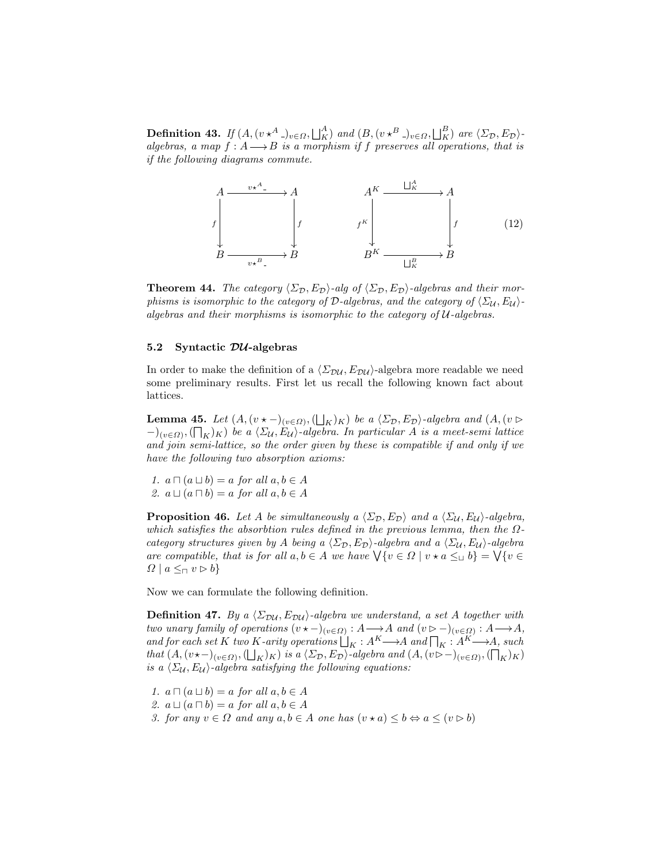**Definition 43.** If  $(A, (v \star^A)_{v \in \Omega}, \bigsqcup_K^A)$  and  $(B, (v \star^B)_{v \in \Omega}, \bigsqcup_K^B)$  are  $\langle \Sigma_{\mathcal{D}}, E_{\mathcal{D}} \rangle$ algebras, a map  $f : A \longrightarrow B$  is a morphism if f preserves all operations, that is if the following diagrams commute.



**Theorem 44.** The category  $\langle \Sigma_{\mathcal{D}}, E_{\mathcal{D}} \rangle$ -alg of  $\langle \Sigma_{\mathcal{D}}, E_{\mathcal{D}} \rangle$ -algebras and their morphisms is isomorphic to the category of  $\mathcal{D}\text{-}algebras$ , and the category of  $\langle \Sigma_{\mathcal{U}}, E_{\mathcal{U}} \rangle$ algebras and their morphisms is isomorphic to the category of  $U$ -algebras.

## 5.2 Syntactic  $\mathcal{D} \mathcal{U}$ -algebras

In order to make the definition of a  $\langle \Sigma_{\text{DU}} , E_{\text{DU}} \rangle$ -algebra more readable we need some preliminary results. First let us recall the following known fact about lattices.

**Lemma 45.** Let  $(A, (v \star -)_{(v \in \Omega)}, (\bigsqcup_K)_K)$  be a  $\langle \Sigma_{\mathcal{D}}, E_{\mathcal{D}} \rangle$ -algebra and  $(A, (v \triangleright$  $(-)_{(v \in \Omega)}, (\bigcap_K)_K)$  be a  $\langle \Sigma_{\mathcal{U}}, E_{\mathcal{U}} \rangle$ -algebra. In particular A is a meet-semi lattice and join semi-lattice, so the order given by these is compatible if and only if we have the following two absorption axioms:

1.  $a \sqcap (a \sqcup b) = a$  for all  $a, b \in A$ 2.  $a \sqcup (a \sqcap b) = a$  for all  $a, b \in A$ 

<span id="page-15-0"></span>**Proposition 46.** Let A be simultaneously a  $\langle \Sigma_{\mathcal{D}}, E_{\mathcal{D}} \rangle$  and a  $\langle \Sigma_{\mathcal{U}}, E_{\mathcal{U}} \rangle$ -algebra, which satisfies the absorbtion rules defined in the previous lemma, then the  $\Omega$ category structures given by A being a  $\langle \Sigma_{\mathcal{D}}, E_{\mathcal{D}} \rangle$ -algebra and a  $\langle \Sigma_{\mathcal{U}}, E_{\mathcal{U}} \rangle$ -algebra are compatible, that is for all  $a, b \in A$  we have  $\forall \{v \in \Omega \mid v \star a \leq_{\sqcup} b\} = \forall \{v \in A\}$  $\Omega \mid a \leq_{\sqcap} v \rhd b$ 

<span id="page-15-1"></span>Now we can formulate the following definition.

**Definition 47.** By a  $\langle \Sigma_{\text{DU}} , E_{\text{DU}} \rangle$ -algebra we understand, a set A together with two unary family of operations  $(v \star -)_{(v \in \Omega)} : A \longrightarrow A$  and  $(v \triangleright -)_{(v \in \Omega)} : A \longrightarrow A$ , and for each set K two K-arity operations  $\bigsqcup_K : A^K \longrightarrow A$  and  $\bigsqcup_K : A^K \longrightarrow A$ , such that  $(A, (v \star -)_{(v \in \Omega)}, (\bigsqcup_K)_K)$  is a  $\langle \Sigma_{\mathcal{D}}, E_{\mathcal{D}} \rangle$ -algebra and  $(A, (v \triangleright -)_{(v \in \Omega)}, (\bigsqcup_K)_K)$ is a  $\langle \Sigma_{\mathcal{U}}, E_{\mathcal{U}} \rangle$ -algebra satisfying the following equations:

1.  $a \sqcap (a \sqcup b) = a$  for all  $a, b \in A$ 2.  $a \sqcup (a \sqcap b) = a$  for all  $a, b \in A$ 3. for any  $v \in \Omega$  and any  $a, b \in A$  one has  $(v \star a) \leq b \Leftrightarrow a \leq (v \triangleright b)$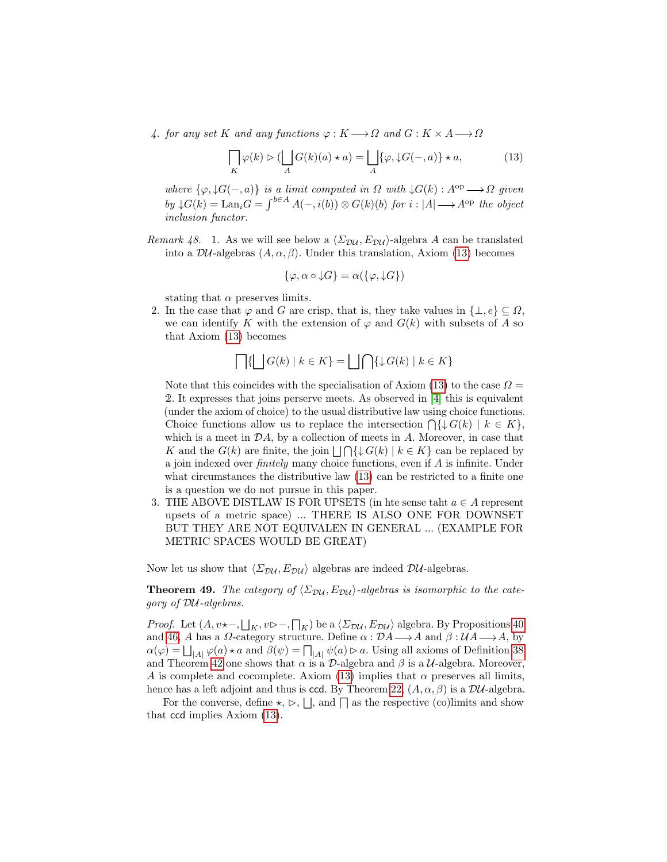4. for any set K and any functions  $\varphi: K \longrightarrow \Omega$  and  $G: K \times A \longrightarrow \Omega$ 

<span id="page-16-1"></span>
$$
\bigcap_{K} \varphi(k) \triangleright (\bigcup_{A} G(k)(a) \star a) = \bigcup_{A} \{\varphi, \downarrow G(-, a)\} \star a,\tag{13}
$$

where  $\{\varphi, \downarrow G(-,a)\}\$ is a limit computed in  $\Omega$  with  $\downarrow G(k): A^{\text{op}} \longrightarrow \Omega$  given  $by \downarrow G(k) = \text{Lan}_i G = \int^{b \in A} A(-, i(b)) \otimes G(k)(b)$  for  $i : |A| \longrightarrow A^{\text{op}}$  the object inclusion functor.

Remark 48. 1. As we will see below a  $\langle \Sigma_{\text{DU}} , E_{\text{DU}} \rangle$ -algebra A can be translated into a  $\mathcal{D}U$ -algebras  $(A, \alpha, \beta)$ . Under this translation, Axiom [\(13\)](#page-16-1) becomes

$$
\{\varphi, \alpha \circ \downarrow G\} = \alpha(\{\varphi, \downarrow G\})
$$

stating that  $\alpha$  preserves limits.

2. In the case that  $\varphi$  and G are crisp, that is, they take values in  $\{\perp, e\} \subseteq \Omega$ , we can identify K with the extension of  $\varphi$  and  $G(k)$  with subsets of A so that Axiom [\(13\)](#page-16-1) becomes

$$
\bigcap \{ \bigsqcup G(k) \mid k \in K \} = \bigsqcup \bigcap \{ \downarrow G(k) \mid k \in K \}
$$

Note that this coincides with the specialisation of Axiom [\(13\)](#page-16-1) to the case  $\Omega =$ 2. It expresses that joins perserve meets. As observed in [\[4\]](#page-18-3) this is equivalent (under the axiom of choice) to the usual distributive law using choice functions. Choice functions allow us to replace the intersection  $\bigcap \{ \downarrow G(k) \mid k \in K \},\$ which is a meet in  $\mathcal{D}A$ , by a collection of meets in  $A$ . Moreover, in case that K and the  $G(k)$  are finite, the join  $\lfloor \bigcap \{ \downarrow G(k) \mid k \in K \}$  can be replaced by a join indexed over finitely many choice functions, even if A is infinite. Under what circumstances the distributive law  $(13)$  can be restricted to a finite one is a question we do not pursue in this paper.

3. THE ABOVE DISTLAW IS FOR UPSETS (in hte sense taht  $a \in A$  represent upsets of a metric space) ... THERE IS ALSO ONE FOR DOWNSET BUT THEY ARE NOT EQUIVALEN IN GENERAL ... (EXAMPLE FOR METRIC SPACES WOULD BE GREAT)

<span id="page-16-0"></span>Now let us show that  $\langle \Sigma_{\text{DU}} , E_{\text{DU}} \rangle$  algebras are indeed DU-algebras.

# **Theorem 49.** The category of  $\langle \Sigma_{\text{DU}} , E_{\text{DU}} \rangle$ -algebras is isomorphic to the category of DU-algebras.

*Proof.* Let  $(A, v \star -, \bigsqcup_K, v \rhd -, \bigsqcup_K)$  be a  $\langle \Sigma_{\mathcal{D}U}, E_{\mathcal{D}U} \rangle$  algebra. By Propositions [40](#page-14-0) and [46,](#page-15-0) A has a  $\Omega$ -category structure. Define  $\alpha : \mathcal{D}A \longrightarrow A$  and  $\beta : \mathcal{U}A \longrightarrow A$ , by  $\alpha(\varphi) = \bigsqcup_{|A|} \varphi(a) \star a$  and  $\beta(\psi) = \bigsqcup_{|A|} \psi(a) \triangleright a$ . Using all axioms of Definition [38](#page-12-0) and Theorem [42](#page-14-1) one shows that  $\alpha$  is a  $\mathcal D$ -algebra and  $\beta$  is a  $\mathcal U$ -algebra. Moreover, A is complete and cocomplete. Axiom [\(13\)](#page-16-1) implies that  $\alpha$  preserves all limits, hence has a left adjoint and thus is ccd. By Theorem [22,](#page-8-0)  $(A, \alpha, \beta)$  is a  $\mathcal{D}U$ -algebra.

For the converse, define  $\star$ ,  $\triangleright$ ,  $\lfloor \cdot \rfloor$ , and  $\lceil \cdot \rceil$  as the respective (co)limits and show that ccd implies Axiom [\(13\)](#page-16-1).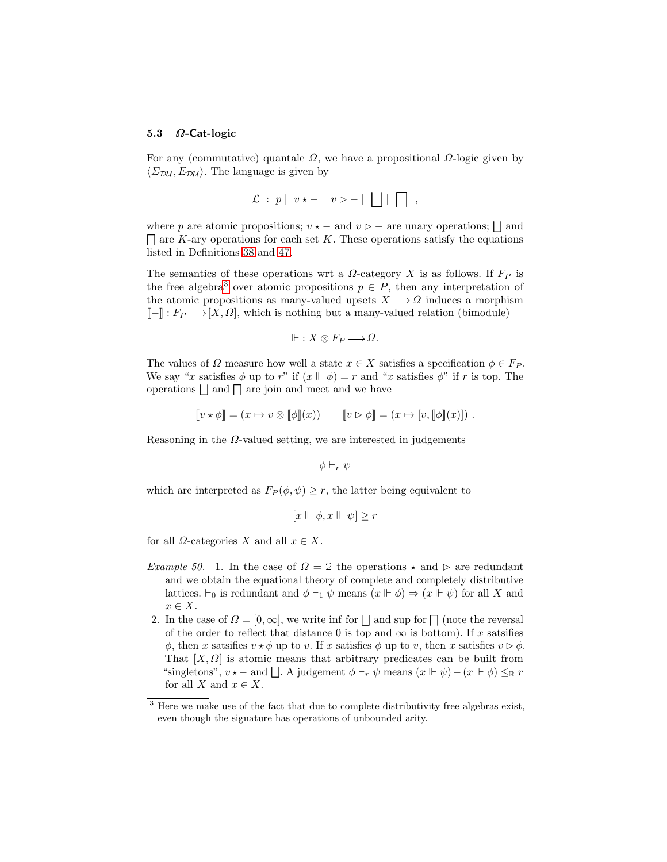#### 5.3  $\Omega$ -Cat-logic

For any (commutative) quantale  $\Omega$ , we have a propositional  $\Omega$ -logic given by  $\langle \Sigma_{\text{DM}}, E_{\text{DM}} \rangle$ . The language is given by

$$
\mathcal{L} \; : \; p \mid v \star - \mid v \triangleright - \mid \bigsqcup \mid \bigsqcup \mid ,
$$

where p are atomic propositions;  $v \star -$  and  $v \gt -$  are unary operations;  $\Box$  and  $\Box$  are K-ary operations for each set K. These operations satisfy the equations listed in Definitions [38](#page-12-0) and [47.](#page-15-1)

The semantics of these operations wrt a  $\Omega$ -category X is as follows. If  $F_P$  is the free algebra<sup>[3](#page-17-0)</sup> over atomic propositions  $p \in P$ , then any interpretation of the atomic propositions as many-valued upsets  $X \longrightarrow \Omega$  induces a morphism  $[-] : F_P \longrightarrow [X, \Omega],$  which is nothing but a many-valued relation (bimodule)

$$
\Vdash : X \otimes F_P \longrightarrow \Omega.
$$

The values of  $\Omega$  measure how well a state  $x \in X$  satisfies a specification  $\phi \in F_P$ . We say "x satisfies  $\phi$  up to r" if  $(x \not\Vdash \phi) = r$  and "x satisfies  $\phi$ " if r is top. The operations  $\Box$  and  $\Box$  are join and meet and we have

$$
[\![v \star \phi]\!] = (x \mapsto v \otimes [\![\phi]\!](x)) \qquad [\![v \rhd \phi]\!] = (x \mapsto [v, [\![\phi]\!](x))
$$

Reasoning in the  $\Omega$ -valued setting, we are interested in judgements

 $\phi \vdash_r \psi$ 

which are interpreted as  $F_P(\phi, \psi) \geq r$ , the latter being equivalent to

$$
[x \Vdash \phi, x \Vdash \psi] \ge r
$$

for all  $\Omega$ -categories X and all  $x \in X$ .

- Example 50. 1. In the case of  $\Omega = 2$  the operations  $\star$  and  $\triangleright$  are redundant and we obtain the equational theory of complete and completely distributive lattices.  $\vdash_0$  is redundant and  $\phi \vdash_1 \psi$  means  $(x \Vdash \phi) \Rightarrow (x \Vdash \psi)$  for all X and  $x \in X$ .
- 2. In the case of  $\Omega = [0, \infty]$ , we write inf for  $\Box$  and sup for  $\Box$  (note the reversal of the order to reflect that distance 0 is top and  $\infty$  is bottom). If x satsifies  $\phi$ , then x satsifies  $v \star \phi$  up to v. If x satisfies  $\phi$  up to v, then x satisfies  $v \triangleright \phi$ . That  $[X, \Omega]$  is atomic means that arbitrary predicates can be built from "singletons",  $v \star -$  and  $\Box$ . A judgement  $\phi \vdash_r \psi$  means  $(x \Vdash \psi) - (x \Vdash \phi) \leq_{\mathbb{R}} r$ for all X and  $x \in X$ .

<span id="page-17-0"></span> $3$  Here we make use of the fact that due to complete distributivity free algebras exist, even though the signature has operations of unbounded arity.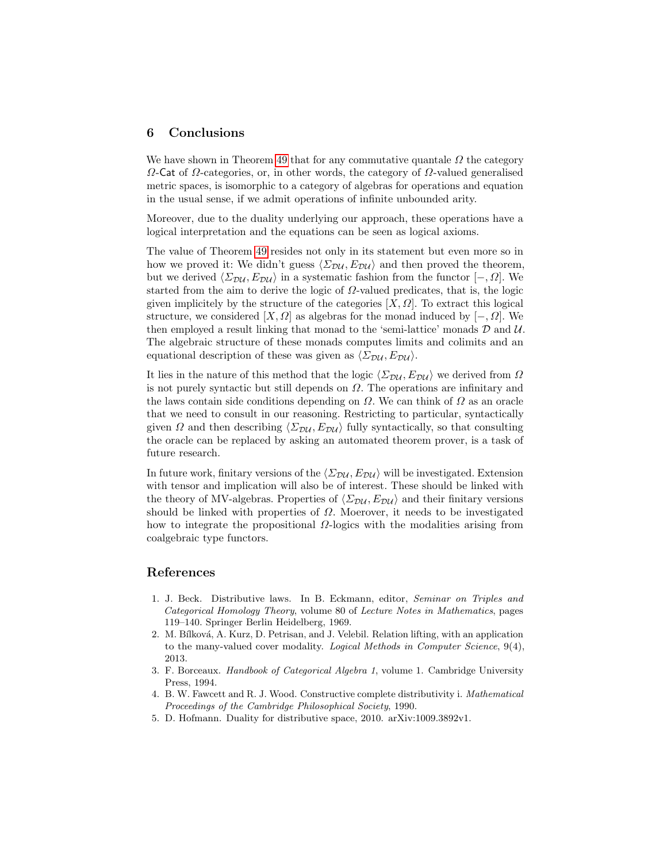# 6 Conclusions

We have shown in Theorem [49](#page-16-0) that for any commutative quantale  $\Omega$  the category  $\Omega$ -Cat of  $\Omega$ -categories, or, in other words, the category of  $\Omega$ -valued generalised metric spaces, is isomorphic to a category of algebras for operations and equation in the usual sense, if we admit operations of infinite unbounded arity.

Moreover, due to the duality underlying our approach, these operations have a logical interpretation and the equations can be seen as logical axioms.

The value of Theorem [49](#page-16-0) resides not only in its statement but even more so in how we proved it: We didn't guess  $\langle \Sigma_{\text{DU}} , E_{\text{DU}} \rangle$  and then proved the theorem, but we derived  $\langle \Sigma_{\mathcal{D}\mathcal{U}}, E_{\mathcal{D}\mathcal{U}} \rangle$  in a systematic fashion from the functor  $[-, \Omega]$ . We started from the aim to derive the logic of  $\Omega$ -valued predicates, that is, the logic given implicitely by the structure of the categories  $[X, \Omega]$ . To extract this logical structure, we considered [X,  $\Omega$ ] as algebras for the monad induced by [-,  $\Omega$ ]. We then employed a result linking that monad to the 'semi-lattice' monads  $\mathcal D$  and  $\mathcal U$ . The algebraic structure of these monads computes limits and colimits and an equational description of these was given as  $\langle \Sigma_{\text{DU}} , E_{\text{DU}} \rangle$ .

It lies in the nature of this method that the logic  $\langle \Sigma_{\mathcal{D}\mathcal{U}}, E_{\mathcal{D}\mathcal{U}} \rangle$  we derived from  $\Omega$ is not purely syntactic but still depends on  $\Omega$ . The operations are infinitary and the laws contain side conditions depending on  $\Omega$ . We can think of  $\Omega$  as an oracle that we need to consult in our reasoning. Restricting to particular, syntactically given  $\Omega$  and then describing  $\langle \Sigma_{\text{DU}} , E_{\text{DU}} \rangle$  fully syntactically, so that consulting the oracle can be replaced by asking an automated theorem prover, is a task of future research.

In future work, finitary versions of the  $\langle \Sigma_{\text{DU}} , E_{\text{DU}} \rangle$  will be investigated. Extension with tensor and implication will also be of interest. These should be linked with the theory of MV-algebras. Properties of  $\langle \Sigma_{\text{DU}} , E_{\text{DU}} \rangle$  and their finitary versions should be linked with properties of  $\Omega$ . Moerover, it needs to be investigated how to integrate the propositional  $\Omega$ -logics with the modalities arising from coalgebraic type functors.

# References

- <span id="page-18-2"></span>1. J. Beck. Distributive laws. In B. Eckmann, editor, Seminar on Triples and Categorical Homology Theory, volume 80 of Lecture Notes in Mathematics, pages 119–140. Springer Berlin Heidelberg, 1969.
- <span id="page-18-0"></span>2. M. Bílková, A. Kurz, D. Petrisan, and J. Velebil. Relation lifting, with an application to the many-valued cover modality. Logical Methods in Computer Science, 9(4), 2013.
- <span id="page-18-4"></span>3. F. Borceaux. Handbook of Categorical Algebra 1, volume 1. Cambridge University Press, 1994.
- <span id="page-18-3"></span>4. B. W. Fawcett and R. J. Wood. Constructive complete distributivity i. Mathematical Proceedings of the Cambridge Philosophical Society, 1990.
- <span id="page-18-1"></span>5. D. Hofmann. Duality for distributive space, 2010. arXiv:1009.3892v1.